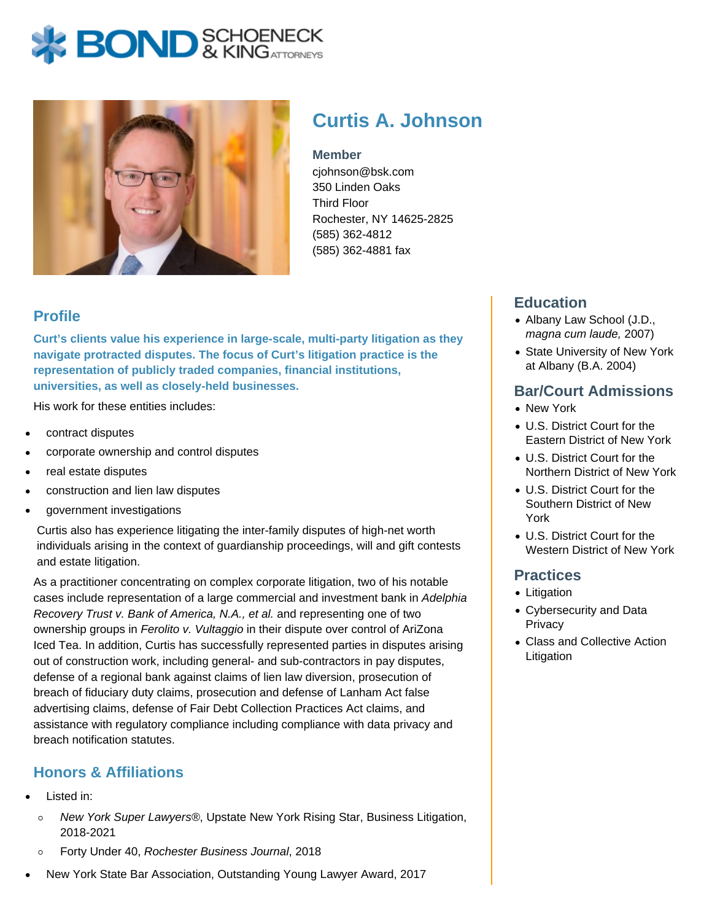# **BOND** & KINGATTORNECK



## **Curtis A. Johnson**

#### **Member**

cjohnson@bsk.com 350 Linden Oaks Third Floor Rochester, NY 14625-2825 (585) 362-4812 (585) 362-4881 fax

#### **Profile**

**Curt's clients value his experience in large-scale, multi-party litigation as they navigate protracted disputes. The focus of Curt's litigation practice is the representation of publicly traded companies, financial institutions, universities, as well as closely-held businesses.**

His work for these entities includes:

- contract disputes
- corporate ownership and control disputes
- real estate disputes
- construction and lien law disputes
- government investigations

Curtis also has experience litigating the inter-family disputes of high-net worth individuals arising in the context of guardianship proceedings, will and gift contests and estate litigation.

As a practitioner concentrating on complex corporate litigation, two of his notable cases include representation of a large commercial and investment bank in Adelphia Recovery Trust v. Bank of America, N.A., et al. and representing one of two ownership groups in Ferolito v. Vultaggio in their dispute over control of AriZona Iced Tea. In addition, Curtis has successfully represented parties in disputes arising out of construction work, including general- and sub-contractors in pay disputes, defense of a regional bank against claims of lien law diversion, prosecution of breach of fiduciary duty claims, prosecution and defense of Lanham Act false advertising claims, defense of Fair Debt Collection Practices Act claims, and assistance with regulatory compliance including compliance with data privacy and breach notification statutes.

### **Honors & Affiliations**

- Listed in:
	- New York Super Lawyers®, Upstate New York Rising Star, Business Litigation,  $\circ$ 2018-2021
	- Forty Under 40, Rochester Business Journal, 2018  $\circ$

#### New York State Bar Association, Outstanding Young Lawyer Award, 2017

#### **Education**

- Albany Law School (J.D., magna cum laude, 2007)
- State University of New York at Albany (B.A. 2004)

#### **Bar/Court Admissions**

- New York
- U.S. District Court for the Eastern District of New York
- U.S. District Court for the Northern District of New York
- U.S. District Court for the Southern District of New York
- U.S. District Court for the Western District of New York

#### **Practices**

- Litigation
- Cybersecurity and Data **Privacy**
- Class and Collective Action Litigation